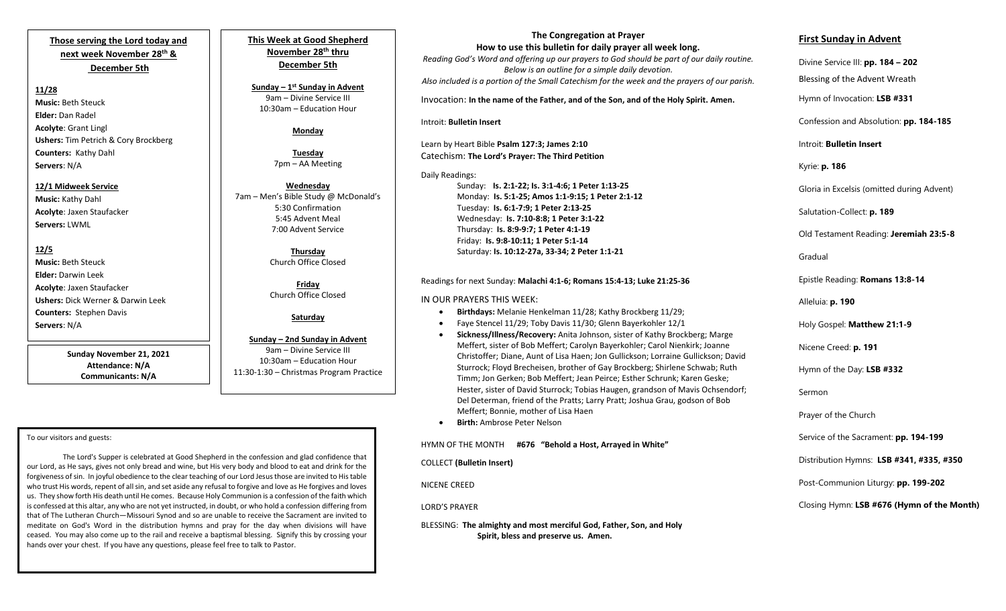# **Those serving the Lord today and next week November 28th & December 5th**

#### **11/28**

**Music:** Beth Steuck **Elder:** Dan Radel **Acolyte**: Grant Lingl **Ushers:** Tim Petrich & Cory Brockberg **Counters:** Kathy Dahl **Servers**: N/A

#### **12/1 Midweek Service Music:** Kathy Dahl

**Acolyte**: Jaxen Staufacker **Servers:** LWML

## **12/5**

**Music:** Beth Steuck **Elder:** Darwin Leek **Acolyte**: Jaxen Staufacker **Ushers:** Dick Werner & Darwin Leek **Counters:** Stephen Davis **Servers**: N/A

> **Sunday November 21, 2021 Attendance: N/A Communicants: N/A**

#### To our visitors and guests:

 forgiveness of sin. In joyful obedience to the clear teaching of our Lord Jesus those are invited to His table The Lord's Supper is celebrated at Good Shepherd in the confession and glad confidence that our Lord, as He says, gives not only bread and wine, but His very body and blood to eat and drink for the who trust His words, repent of all sin, and set aside any refusal to forgive and love as He forgives and loves us. They show forth His death until He comes. Because Holy Communion is a confession of the faith which is confessed at this altar, any who are not yet instructed, in doubt, or who hold a confession differing from that of The Lutheran Church—Missouri Synod and so are unable to receive the Sacrament are invited to meditate on God's Word in the distribution hymns and pray for the day when divisions will have ceased. You may also come up to the rail and receive a baptismal blessing. Signify this by crossing your hands over your chest. If you have any questions, please feel free to talk to Pastor.

I

**This Week at Good Shepherd November 28th thru December 5th**

**Sunday – 1 st Sunday in Advent** 9am – Divine Service III 10:30am – Education Hour

## **Monday**

**Tuesday** 7pm – AA Meeting

**Wednesday** 7am – Men's Bible Study @ McDonald's 5:30 Confirmation 5:45 Advent Meal 7:00 Advent Service

> **Thursday**  Church Office Closed

**Friday** Church Office Closed

## **Saturday**

#### **Sunday – 2nd Sunday in Advent**

9am – Divine Service III 10:30am – Education Hour 11:30-1:30 – Christmas Program Practice

# **The Congregation at Prayer**

 *Also included is a portion of the Small Catechism for the week and the prayers of our parish.* **How to use this bulletin for daily prayer all week long.** *Reading God's Word and offering up our prayers to God should be part of our daily routine. Below is an outline for a simple daily devotion.*

Invocation: **In the name of the Father, and of the Son, and of the Holy Spirit. Amen.**

#### Introit: **Bulletin Insert**

Learn by Heart Bible **Psalm 127:3; James 2:10** Catechism: **The Lord's Prayer: The Third Petition**

### Daily Readings:

Sunday: **Is. 2:1-22; Is. 3:1-4:6; 1 Peter 1:13-25** Monday: **Is. 5:1-25; Amos 1:1-9:15; 1 Peter 2:1-12** Tuesday: **Is. 6:1-7:9; 1 Peter 2:13-25** Wednesday: **Is. 7:10-8:8; 1 Peter 3:1-22** Thursday: **Is. 8:9-9:7; 1 Peter 4:1-19** Friday: **Is. 9:8-10:11; 1 Peter 5:1-14** Saturday: **Is. 10:12-27a, 33-34; 2 Peter 1:1-21**

#### Readings for next Sunday: **Malachi 4:1-6; Romans 15:4-13; Luke 21:25-36**

### IN OUR PRAYERS THIS WEEK:

- **Birthdays:** Melanie Henkelman 11/28; Kathy Brockberg 11/29;
- Faye Stencel 11/29; Toby Davis 11/30; Glenn Bayerkohler 12/1
- **Sickness/Illness/Recovery:** Anita Johnson, sister of Kathy Brockberg; Marge Meffert, sister of Bob Meffert; Carolyn Bayerkohler; Carol Nienkirk; Joanne Christoffer; Diane, Aunt of Lisa Haen; Jon Gullickson; Lorraine Gullickson; David Sturrock; Floyd Brecheisen, brother of Gay Brockberg; Shirlene Schwab; Ruth Timm; Jon Gerken; Bob Meffert; Jean Peirce; Esther Schrunk; Karen Geske; Hester, sister of David Sturrock; Tobias Haugen, grandson of Mavis Ochsendorf; Del Determan, friend of the Pratts; Larry Pratt; Joshua Grau, godson of Bob Meffert; Bonnie, mother of Lisa Haen
- **Birth:** Ambrose Peter Nelson

## HYMN OF THE MONTH **#676 "Behold a Host, Arrayed in White"**

COLLECT **(Bulletin Insert)**

NICENE CREED

LORD'S PRAYER

 BLESSING: **The almighty and most merciful God, Father, Son, and Holy Spirit, bless and preserve us. Amen.**

## **First Sunday in Advent**

Divine Service III: **pp. 184 – 202**

Blessing of the Advent Wreath

Hymn of Invocation: **LSB #331**

Confession and Absolution: **pp. 184-185**

Introit: **Bulletin Insert** 

## Kyrie: **p. 186**

Gloria in Excelsis (omitted during Advent)

Salutation-Collect: **p. 189**

Old Testament Reading: **Jeremiah 23:5-8**

Gradual

Epistle Reading: **Romans 13:8-14**

Alleluia: **p. 190**

Holy Gospel: **Matthew 21:1-9**

Nicene Creed: **p. 191**

Hymn of the Day: **LSB #332**

Sermon

Prayer of the Church

Service of the Sacrament: **pp. 194-199**

Distribution Hymns: **LSB #341, #335, #350**

Post-Communion Liturgy: **pp. 199-202** 

Closing Hymn: **LSB #676 (Hymn of the Month)**